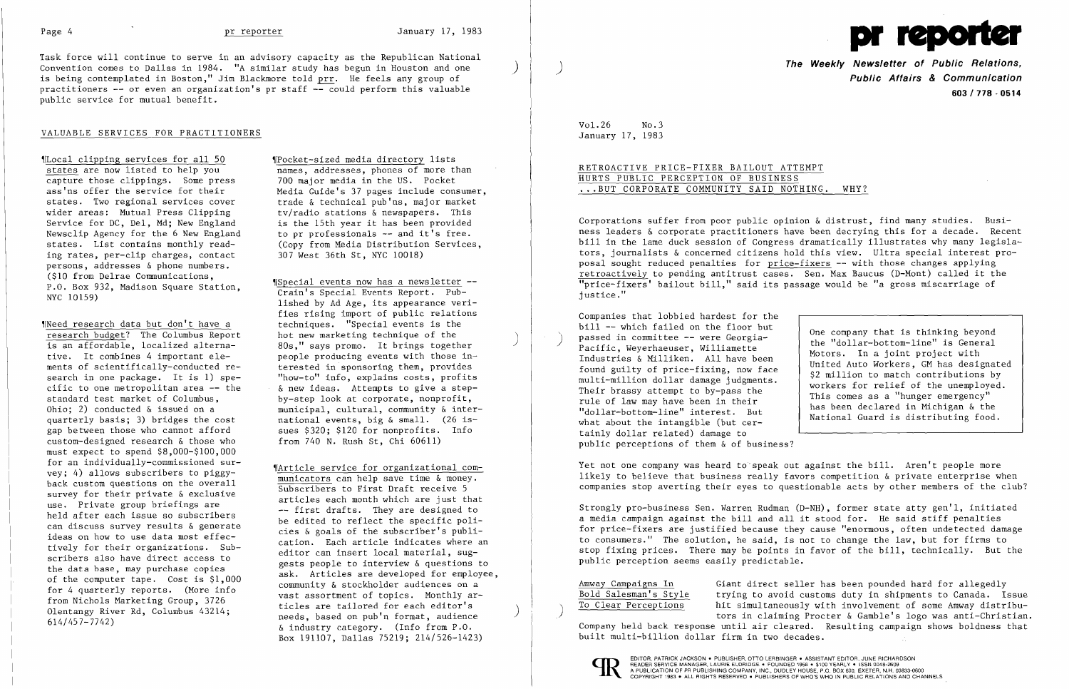Task force will continue to serve in an advisory capacity as the Republican National Convention comes to Dallas in 1984. "A similar study has begun in Houston and one is being contemplated in Boston," Jim Blackmore told prr. He feels any group of practitioners  $-$  or even an organization's pr staff  $-$  could perform this valuable public service for mutual benefit.

~Loca1 clipping services for all 50 ~rPocket-sized media directory lists capture those clippings. Some press<br>ass'ns offer the service for their wider areas: Mutual Press Clipping tv/radio stations & newspapers. This<br>Service for DC, Del, Md: New England is the 15th year it has been provided Service for DC, Del, Md; New England is the 15th year it has been provided<br>Newsclip Agency for the 6 New England to pr professionals -- and it's free. Newsclip Agency for the 6 New England to pr professionals -- and it's free.<br>states. List contains monthly read- (Cony from Media Distribution Service) ing rates, per-clip charges, contact persons, addresses & phone numbers.<br>(\$10 from Delrae Communications.

Weed research data but don't have a<br>
research budget? The Columbus Report bot new marketing technique of the is an affordable, localized alterna-<br>tive. It combines 4 important ele-<br>neople producing events with those incustom-designed research & those who from 740 N. Rush St, Chi 60611) must expect to spend \$8,000-\$100,000 for an individually-commissioned sur vey; 4) allows subscribers to piggy-<br>back custom questions on the overall municators can help save time & money<br>survey for their private & exclusive

names, addresses, phones of more than<br>700 major media in the US. Pocket ass'ns offer the service for their<br>states. Two regional services cover<br>trade & technical pub'ns, major market states. Two regional services cover<br>wider areas: Mutual Press Clipping tv/radio stations & newspapers. This (Copy from Media Distribution Services, 307 West 36th St, NYC 10018)

P.O. Box 932, Madison Square Station, Welliam Delrae Communications, Welly Special events now has a newsletter --<br>NYC 10159) lished by Ad Age, its appearance verifies rising import of public relations<br>techniques. "Special events is the tive. It combines 4 important ele-<br>people producing events with those inments of scientifically-conducted re-<br>terested in sponsoring them, provides ments of scientifically-conducted re-<br>search in one package. It is 1) spe-<br>cific to one metropolitan area -- the<br> $\&$  new ideas. Attempts to give a stepcific to one metropolitan area -- the  $\alpha$  new ideas. Attempts to give a stepstandard test market of Columbus, by-step look at corporate, nonprofit, Ohio; 2) conducted & issued on a municipal, cultural, community & inter-<br>quarterly basis; 3) bridges the cost national events, big & small. (26 isquarterly basis; 3) bridges the cost antional events, big & small. (26 isgap between those who cannot afford sues \$320; \$120 for nonprofits. Info

### VALUABLE SERVICES FOR PRACTITIONERS

Marticle service for organizational com-<br>municators can help save time & money. survey for their private & exclusive<br>use. Private group briefings are articles each month which are just that<br>-- first drafts. They are designed to use. Private group briefings are<br>
held after each issue so subscribers<br>
can discuss survey results & generate<br>
ideas on how to use data most effec-<br>
tively for their organizations. Sub-<br>
scribers also have direct access to scribers also have direct access to<br>the data base, may purchase copies<br>of the computer tape. Cost is \$1,000<br>for 4 quarterly reports. (More info<br>subset of the community & stockholder audiences on a<br>star assortment of topics from Nichols Marketing Group, 3726<br>Olentangy River Rd, Columbus 43214;<br>614/457-7742) black are tailored for each editor's<br>614/457-7742) black and ticles are tailored for each editor's<br>& industry category. (Info from P.O. Box 191107, Dallas 75219; 214/526-1423)

**The Weekly Newsletter of Public Relations, Public Affairs & Communication 603/778·0514** 

## RETROACTIVE PRICE-FIXER BAILOUT ATTEMPT HURTS PUBLIC PERCEPTION OF BUSINESS ...BUT CORPORATE COMMUNITY SAID NOTHING. WHY?

Companies that lobbied hardest for the<br>bill -- which failed on the floor but bill -- which failed on the floor but<br>
passed in committee -- were Georgia-<br>
Pacific, Weyerhaeuser, Williamette<br>
Industries & Milliken. All have been<br>
found guilty of price-fixing, now face<br>
multi-million dollar damage jud what about the intangible (but certainly dollar related) damage to public perceptions of them & of business?

Amway Campaigns In Giant direct seller has been pounded hard for allegedly<br>Bold Salesman's Style trying to avoid customs duty in shipments to Canada. Is Bold Salesman's Style trying to avoid customs duty in shipments to Canada. Issue<br>To Clear Perceptions hit simultaneously with involvement of some Amway distribuhit simultaneously with involvement of some Amway distribu-<br>tors in claiming Procter & Gamble's logo was anti-Christian. Company held back response until air cleared. Resulting campaign shows boldness that built multi-billion dollar firm in two decades.



EDITOR, PATRICK JACKSON • PUBLISHER, OTTO LERBINGER • ASSISTANT EDITOR, JUNE RICHARDSON<br>READER SERVICE MANAGER, LAURIE ELDRIDGE • FOUNDED 1958 • \$100 YEARLY • ISSN 0048-2609 READER SERVICE MANAGER, LAURIE ELDRIDGE • FOUNDED 1958 • \$100 YEARLY • ISSN 0048-2609<br>A PUBLICATION OF PR PUBLISHING COMPANY, INC., DUDLEY HOUSE, P.O. BOX 600, EXETER, N.H. 03833-0600<br>COPYRIGHT 1983 • ALL RIGHTS RESERVED •



Vo1.26 No.3 January 17, 1983

Corporations suffer from poor public opinion & distrust, find many studies. Business leaders & corporate practitioners have been decrying this for a decade. Recent bill in the lame duck session of Congress dramatically illustrates why many legislators, journalists & concerned citizens hold this view. Ultra special interest proposal sought reduced penalties for price-fixers -- with those changes applying retroactively to pending antitrust cases. Sen. Max Baucus (D-Mont) called it the "price-fixers' bailout bill," said its passage would be "a gross miscarriage of justice."

Yet not one company was heard to' speak out against the bill. Aren't people more likely to believe that business really favors competition & private enterprise when companies stop averting their eyes to questionable acts by other members of the club?

Strongly pro-business Sen. Warren Rudman (D-NH), former state atty gen'l, initiated a media campaign against the bill and all it stood for. He said stiff penalties for price-fixers are justified because they cause "enormous, often undetected damage to consumers." The solution, he said, is not to change the law, but for firms to stop fixing prices. There may be points in favor of the bill, technically. But the public perception seems easily predictable.